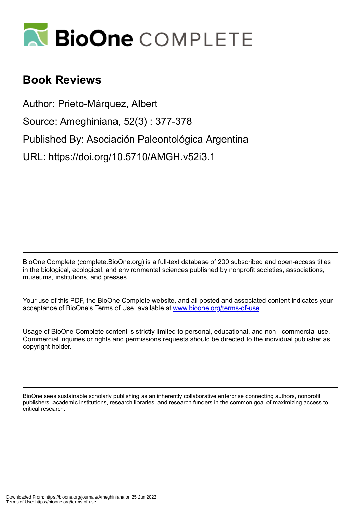

# **Book Reviews**

Author: Prieto-Márquez, Albert

Source: Ameghiniana, 52(3) : 377-378

Published By: Asociación Paleontológica Argentina

URL: https://doi.org/10.5710/AMGH.v52i3.1

BioOne Complete (complete.BioOne.org) is a full-text database of 200 subscribed and open-access titles in the biological, ecological, and environmental sciences published by nonprofit societies, associations, museums, institutions, and presses.

Your use of this PDF, the BioOne Complete website, and all posted and associated content indicates your acceptance of BioOne's Terms of Use, available at www.bioone.org/terms-of-use.

Usage of BioOne Complete content is strictly limited to personal, educational, and non - commercial use. Commercial inquiries or rights and permissions requests should be directed to the individual publisher as copyright holder.

BioOne sees sustainable scholarly publishing as an inherently collaborative enterprise connecting authors, nonprofit publishers, academic institutions, research libraries, and research funders in the common goal of maximizing access to critical research.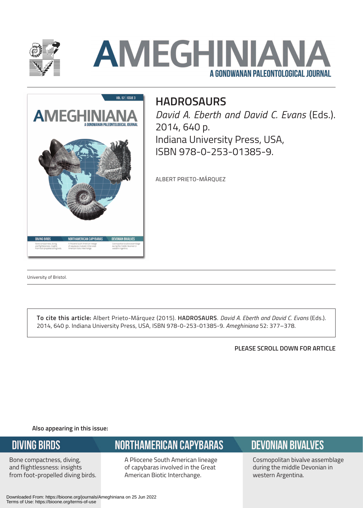

# **AMEGHINIAN** A GONDWANAN PALEONTOLOGICAL JOURNAL



# **HADROSAURS**

*David A. Eberth and David C. Evans* (Eds.). 2014, 640 p. Indiana University Press, USA, ISBN 978-0-253-01385-9.

ALBERT PRIETO-MÁRQUEZ

University of Bristol.

**To cite this article:** Albert Prieto-Márquez (2015). **HADROSAURS**. *David A. Eberth and David C. Evans* (Eds.). 2014, 640 p. Indiana University Press, USA, ISBN 978-0-253-01385-9. *Ameghiniana* 52: 377–378.

**PLEASE SCROLL DOWN FOR ARTICLE**

**Also appearing in this issue:**

#### **DIVING BIRDS**

Bone compactness, diving, and flightlessness: insights from foot-propelled diving birds.

# **NORTHAMERICAN CAPYBARAS**

A Pliocene South American lineage of capybaras involved in the Great American Biotic Interchange.

# **DEVONIAN BIVALVES**

Cosmopolitan bivalve assemblage during the middle Devonian in western Argentina.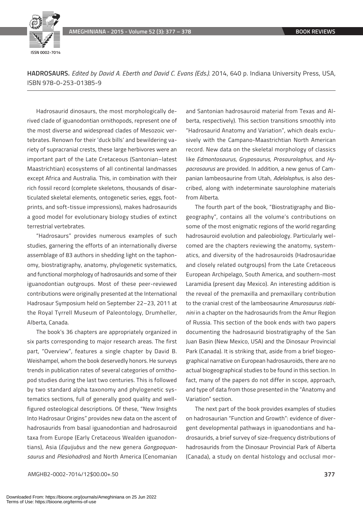

**HADROSAURS.** *Edited by David A. Eberth and David C. Evans (Eds.).* 2014, 640 p. Indiana University Press, USA, ISBN 978-0-253-01385-9

Hadrosaurid dinosaurs, the most morphologically derived clade of iguanodontian ornithopods, represent one of the most diverse and widespread clades of Mesozoic vertebrates. Renown for their 'duck bills' and bewildering variety of supracranial crests, these large herbivores were an important part of the Late Cretaceous (Santonian–latest Maastrichtian) ecosystems of all continental landmasses except Africa and Australia. This, in combination with their rich fossil record (complete skeletons, thousands of disarticulated skeletal elements, ontogenetic series, eggs, footprints, and soft-tissue impressions), makes hadrosaurids a good model for evolutionary biology studies of extinct terrestrial vertebrates.

"Hadrosaurs" provides numerous examples of such studies, garnering the efforts of an internationally diverse assemblage of 83 authors in shedding light on the taphonomy, biostratigraphy, anatomy, phylogenetic systematics, and functional morphology of hadrosaurids and some of their iguanodontian outgroups. Most of these peer-reviewed contributions were originally presented at the International Hadrosaur Symposium held on September 22–23, 2011 at the Royal Tyrrell Museum of Paleontology, Drumheller, Alberta, Canada.

The book's 36 chapters are appropriately organized in six parts corresponding to major research areas. The first part, "Overview", features a single chapter by David B. Weishampel, whom the book deservedly honors. He surveys trends in publication rates of several categories of ornithopod studies during the last two centuries. This is followed by two standard alpha taxonomy and phylogenetic systematics sections, full of generally good quality and wellfigured osteological descriptions. Of these, "New Insights Into Hadrosaur Origins" provides new data on the ascent of hadrosaurids from basal iguanodontian and hadrosauroid taxa from Europe (Early Cretaceous Wealden iguanodontians), Asia (*Equijubus* and the new genera *Gongpoquansaurus* and *Plesiohadros*) and North America (Cenomanian and Santonian hadrosauroid material from Texas and Alberta, respectively). This section transitions smoothly into "Hadrosaurid Anatomy and Variation", which deals exclusively with the Campano-Maastrichtian North American record. New data on the skeletal morphology of classics like *Edmontosaurus*, *Gryposaurus*, *Prosaurolophus*, and *Hypacrosaurus* are provided. In addition, a new genus of Campanian lambeosaurine from Utah, *Adelolophus*, is also described, along with indeterminate saurolophine materials from Alberta.

The fourth part of the book, "Biostratigraphy and Biogeography", contains all the volume's contributions on some of the most enigmatic regions of the world regarding hadrosauroid evolution and paleobiology. Particularly welcomed are the chapters reviewing the anatomy, systematics, and diversity of the hadrosauroids (Hadrosauridae and closely related outgroups) from the Late Cretaceous European Archipelago, South America, and southern-most Laramidia (present day Mexico). An interesting addition is the reveal of the premaxilla and premaxillary contribution to the cranial crest of the lambeosaurine *Amurosaurus riabinini* in a chapter on the hadrosaurids from the Amur Region of Russia. This section of the book ends with two papers documenting the hadrosaurid biostratigraphy of the San Juan Basin (New Mexico, USA) and the Dinosaur Provincial Park (Canada). It is striking that, aside from a brief biogeographical narrative on European hadrosauroids, there are no actual biogeographical studies to be found in this section. In fact, many of the papers do not differ in scope, approach, and type of data from those presented in the "Anatomy and Variation" section.

The next part of the book provides examples of studies on hadrosaurian "Function and Growth": evidence of divergent developmental pathways in iguanodontians and hadrosaurids, a brief survey of size-frequency distributions of hadrosaurids from the Dinosaur Provincial Park of Alberta (Canada), a study on dental histology and occlusal mor